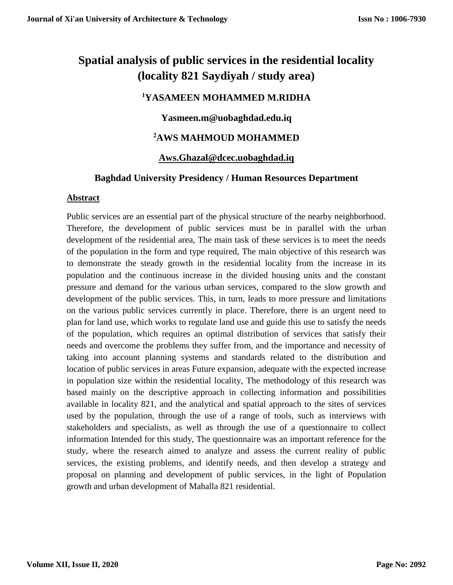# **Spatial analysis of public services in the residential locality (locality 821 Saydiyah / study area)**

# **<sup>1</sup>YASAMEEN MOHAMMED M.RIDHA**

# **Yasmeen.m@uobaghdad.edu.iq**

# **<sup>2</sup>AWS MAHMOUD MOHAMMED**

# **[Aws.Ghazal@dcec.uobaghdad.iq](mailto:Aws.Ghazal@dcec.uobaghdad.iq)**

## **Baghdad University Presidency / Human Resources Department**

## **Abstract**

Public services are an essential part of the physical structure of the nearby neighborhood. Therefore, the development of public services must be in parallel with the urban development of the residential area, The main task of these services is to meet the needs of the population in the form and type required, The main objective of this research was to demonstrate the steady growth in the residential locality from the increase in its population and the continuous increase in the divided housing units and the constant pressure and demand for the various urban services, compared to the slow growth and development of the public services. This, in turn, leads to more pressure and limitations on the various public services currently in place. Therefore, there is an urgent need to plan for land use, which works to regulate land use and guide this use to satisfy the needs of the population, which requires an optimal distribution of services that satisfy their needs and overcome the problems they suffer from, and the importance and necessity of taking into account planning systems and standards related to the distribution and location of public services in areas Future expansion, adequate with the expected increase in population size within the residential locality, The methodology of this research was based mainly on the descriptive approach in collecting information and possibilities available in locality 821, and the analytical and spatial approach to the sites of services used by the population, through the use of a range of tools, such as interviews with stakeholders and specialists, as well as through the use of a questionnaire to collect information Intended for this study, The questionnaire was an important reference for the study, where the research aimed to analyze and assess the current reality of public services, the existing problems, and identify needs, and then develop a strategy and proposal on planning and development of public services, in the light of Population growth and urban development of Mahalla 821 residential.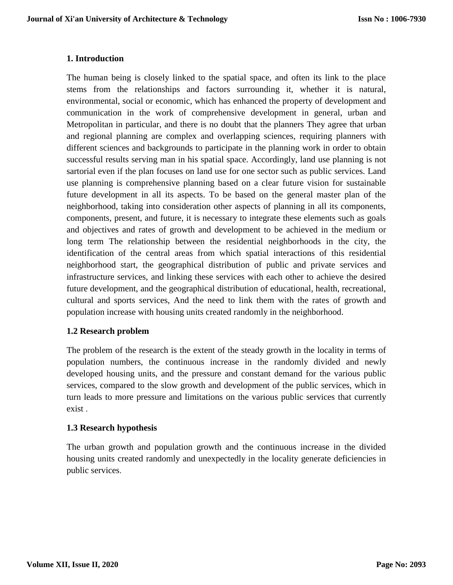## **1. Introduction**

The human being is closely linked to the spatial space, and often its link to the place stems from the relationships and factors surrounding it, whether it is natural, environmental, social or economic, which has enhanced the property of development and communication in the work of comprehensive development in general, urban and Metropolitan in particular, and there is no doubt that the planners They agree that urban and regional planning are complex and overlapping sciences, requiring planners with different sciences and backgrounds to participate in the planning work in order to obtain successful results serving man in his spatial space. Accordingly, land use planning is not sartorial even if the plan focuses on land use for one sector such as public services. Land use planning is comprehensive planning based on a clear future vision for sustainable future development in all its aspects. To be based on the general master plan of the neighborhood, taking into consideration other aspects of planning in all its components, components, present, and future, it is necessary to integrate these elements such as goals and objectives and rates of growth and development to be achieved in the medium or long term The relationship between the residential neighborhoods in the city, the identification of the central areas from which spatial interactions of this residential neighborhood start, the geographical distribution of public and private services and infrastructure services, and linking these services with each other to achieve the desired future development, and the geographical distribution of educational, health, recreational, cultural and sports services, And the need to link them with the rates of growth and population increase with housing units created randomly in the neighborhood.

## **1.2 Research problem**

The problem of the research is the extent of the steady growth in the locality in terms of population numbers, the continuous increase in the randomly divided and newly developed housing units, and the pressure and constant demand for the various public services, compared to the slow growth and development of the public services, which in turn leads to more pressure and limitations on the various public services that currently exist .

## **1.3 Research hypothesis**

The urban growth and population growth and the continuous increase in the divided housing units created randomly and unexpectedly in the locality generate deficiencies in public services.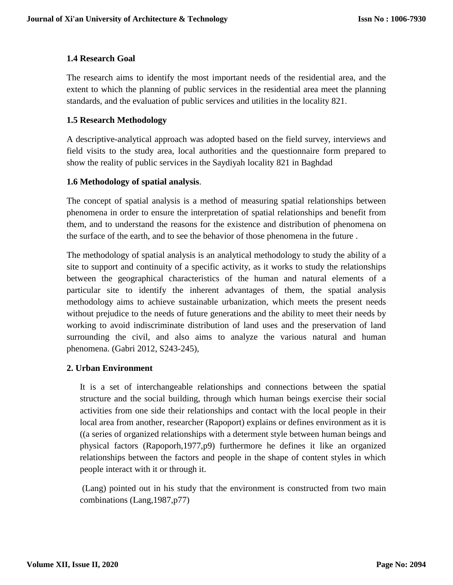## **1.4 Research Goal**

The research aims to identify the most important needs of the residential area, and the extent to which the planning of public services in the residential area meet the planning standards, and the evaluation of public services and utilities in the locality 821.

## **1.5 Research Methodology**

A descriptive-analytical approach was adopted based on the field survey, interviews and field visits to the study area, local authorities and the questionnaire form prepared to show the reality of public services in the Saydiyah locality 821 in Baghdad

## **1.6 Methodology of spatial analysis**.

The concept of spatial analysis is a method of measuring spatial relationships between phenomena in order to ensure the interpretation of spatial relationships and benefit from them, and to understand the reasons for the existence and distribution of phenomena on the surface of the earth, and to see the behavior of those phenomena in the future .

The methodology of spatial analysis is an analytical methodology to study the ability of a site to support and continuity of a specific activity, as it works to study the relationships between the geographical characteristics of the human and natural elements of a particular site to identify the inherent advantages of them, the spatial analysis methodology aims to achieve sustainable urbanization, which meets the present needs without prejudice to the needs of future generations and the ability to meet their needs by working to avoid indiscriminate distribution of land uses and the preservation of land surrounding the civil, and also aims to analyze the various natural and human phenomena. (Gabri 2012, S243-245),

## **2. Urban Environment**

It is a set of interchangeable relationships and connections between the spatial structure and the social building, through which human beings exercise their social activities from one side their relationships and contact with the local people in their local area from another, researcher (Rapoport) explains or defines environment as it is ((a series of organized relationships with a determent style between human beings and physical factors (Rapoporh,1977,p9) furthermore he defines it like an organized relationships between the factors and people in the shape of content styles in which people interact with it or through it.

(Lang) pointed out in his study that the environment is constructed from two main combinations (Lang,1987,p77)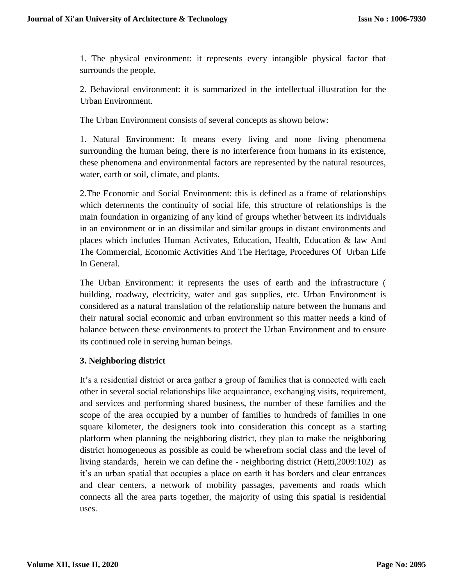1. The physical environment: it represents every intangible physical factor that surrounds the people.

2. Behavioral environment: it is summarized in the intellectual illustration for the Urban Environment.

The Urban Environment consists of several concepts as shown below:

1. Natural Environment: It means every living and none living phenomena surrounding the human being, there is no interference from humans in its existence, these phenomena and environmental factors are represented by the natural resources, water, earth or soil, climate, and plants.

2.The Economic and Social Environment: this is defined as a frame of relationships which determents the continuity of social life, this structure of relationships is the main foundation in organizing of any kind of groups whether between its individuals in an environment or in an dissimilar and similar groups in distant environments and places which includes Human Activates, Education, Health, Education & law And The Commercial, Economic Activities And The Heritage, Procedures Of Urban Life In General.

The Urban Environment: it represents the uses of earth and the infrastructure ( building, roadway, electricity, water and gas supplies, etc. Urban Environment is considered as a natural translation of the relationship nature between the humans and their natural social economic and urban environment so this matter needs a kind of balance between these environments to protect the Urban Environment and to ensure its continued role in serving human beings.

#### **3. Neighboring district**

It's a residential district or area gather a group of families that is connected with each other in several social relationships like acquaintance, exchanging visits, requirement, and services and performing shared business, the number of these families and the scope of the area occupied by a number of families to hundreds of families in one square kilometer, the designers took into consideration this concept as a starting platform when planning the neighboring district, they plan to make the neighboring district homogeneous as possible as could be wherefrom social class and the level of living standards, herein we can define the - neighboring district (Hetti,2009:102) as it's an urban spatial that occupies a place on earth it has borders and clear entrances and clear centers, a network of mobility passages, pavements and roads which connects all the area parts together, the majority of using this spatial is residential uses.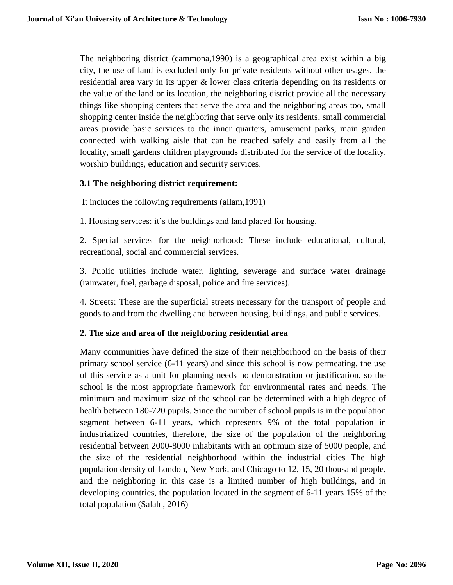The neighboring district (cammona,1990) is a geographical area exist within a big city, the use of land is excluded only for private residents without other usages, the residential area vary in its upper & lower class criteria depending on its residents or the value of the land or its location, the neighboring district provide all the necessary things like shopping centers that serve the area and the neighboring areas too, small shopping center inside the neighboring that serve only its residents, small commercial areas provide basic services to the inner quarters, amusement parks, main garden connected with walking aisle that can be reached safely and easily from all the locality, small gardens children playgrounds distributed for the service of the locality, worship buildings, education and security services.

## **3.1 The neighboring district requirement:**

It includes the following requirements (allam,1991)

1. Housing services: it's the buildings and land placed for housing.

2. Special services for the neighborhood: These include educational, cultural, recreational, social and commercial services.

3. Public utilities include water, lighting, sewerage and surface water drainage (rainwater, fuel, garbage disposal, police and fire services).

4. Streets: These are the superficial streets necessary for the transport of people and goods to and from the dwelling and between housing, buildings, and public services.

## **2. The size and area of the neighboring residential area**

Many communities have defined the size of their neighborhood on the basis of their primary school service (6-11 years) and since this school is now permeating, the use of this service as a unit for planning needs no demonstration or justification, so the school is the most appropriate framework for environmental rates and needs. The minimum and maximum size of the school can be determined with a high degree of health between 180-720 pupils. Since the number of school pupils is in the population segment between 6-11 years, which represents 9% of the total population in industrialized countries, therefore, the size of the population of the neighboring residential between 2000-8000 inhabitants with an optimum size of 5000 people, and the size of the residential neighborhood within the industrial cities The high population density of London, New York, and Chicago to 12, 15, 20 thousand people, and the neighboring in this case is a limited number of high buildings, and in developing countries, the population located in the segment of 6-11 years 15% of the total population (Salah , 2016)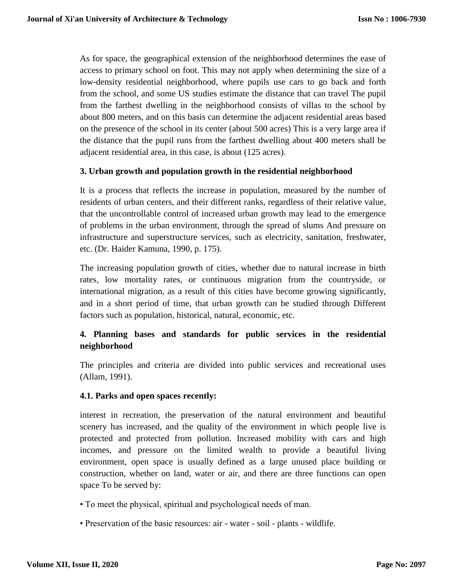As for space, the geographical extension of the neighborhood determines the ease of access to primary school on foot. This may not apply when determining the size of a low-density residential neighborhood, where pupils use cars to go back and forth from the school, and some US studies estimate the distance that can travel The pupil from the farthest dwelling in the neighborhood consists of villas to the school by about 800 meters, and on this basis can determine the adjacent residential areas based on the presence of the school in its center (about 500 acres) This is a very large area if the distance that the pupil runs from the farthest dwelling about 400 meters shall be adjacent residential area, in this case, is about (125 acres).

#### **3. Urban growth and population growth in the residential neighborhood**

It is a process that reflects the increase in population, measured by the number of residents of urban centers, and their different ranks, regardless of their relative value, that the uncontrollable control of increased urban growth may lead to the emergence of problems in the urban environment, through the spread of slums And pressure on infrastructure and superstructure services, such as electricity, sanitation, freshwater, etc. (Dr. Haider Kamuna, 1990, p. 175).

The increasing population growth of cities, whether due to natural increase in birth rates, low mortality rates, or continuous migration from the countryside, or international migration, as a result of this cities have become growing significantly, and in a short period of time, that urban growth can be studied through Different factors such as population, historical, natural, economic, etc.

## **4. Planning bases and standards for public services in the residential neighborhood**

The principles and criteria are divided into public services and recreational uses (Allam, 1991).

#### **4.1. Parks and open spaces recently:**

interest in recreation, the preservation of the natural environment and beautiful scenery has increased, and the quality of the environment in which people live is protected and protected from pollution. Increased mobility with cars and high incomes, and pressure on the limited wealth to provide a beautiful living environment, open space is usually defined as a large unused place building or construction, whether on land, water or air, and there are three functions can open space To be served by:

- To meet the physical, spiritual and psychological needs of man.
- Preservation of the basic resources: air water soil plants wildlife.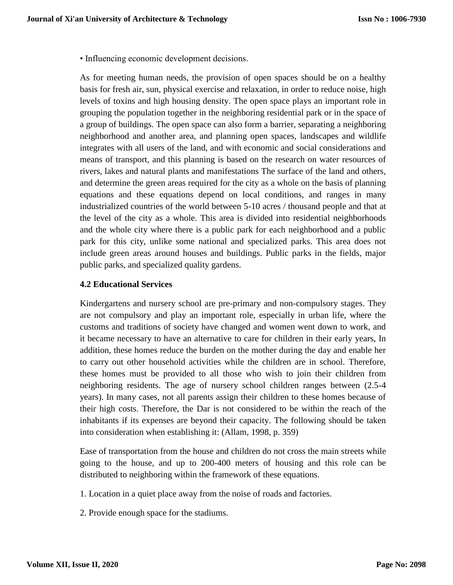• Influencing economic development decisions.

As for meeting human needs, the provision of open spaces should be on a healthy basis for fresh air, sun, physical exercise and relaxation, in order to reduce noise, high levels of toxins and high housing density. The open space plays an important role in grouping the population together in the neighboring residential park or in the space of a group of buildings. The open space can also form a barrier, separating a neighboring neighborhood and another area, and planning open spaces, landscapes and wildlife integrates with all users of the land, and with economic and social considerations and means of transport, and this planning is based on the research on water resources of rivers, lakes and natural plants and manifestations The surface of the land and others, and determine the green areas required for the city as a whole on the basis of planning equations and these equations depend on local conditions, and ranges in many industrialized countries of the world between 5-10 acres / thousand people and that at the level of the city as a whole. This area is divided into residential neighborhoods and the whole city where there is a public park for each neighborhood and a public park for this city, unlike some national and specialized parks. This area does not include green areas around houses and buildings. Public parks in the fields, major public parks, and specialized quality gardens.

## **4.2 Educational Services**

Kindergartens and nursery school are pre-primary and non-compulsory stages. They are not compulsory and play an important role, especially in urban life, where the customs and traditions of society have changed and women went down to work, and it became necessary to have an alternative to care for children in their early years, In addition, these homes reduce the burden on the mother during the day and enable her to carry out other household activities while the children are in school. Therefore, these homes must be provided to all those who wish to join their children from neighboring residents. The age of nursery school children ranges between (2.5-4 years). In many cases, not all parents assign their children to these homes because of their high costs. Therefore, the Dar is not considered to be within the reach of the inhabitants if its expenses are beyond their capacity. The following should be taken into consideration when establishing it: (Allam, 1998, p. 359)

Ease of transportation from the house and children do not cross the main streets while going to the house, and up to 200-400 meters of housing and this role can be distributed to neighboring within the framework of these equations.

- 1. Location in a quiet place away from the noise of roads and factories.
- 2. Provide enough space for the stadiums.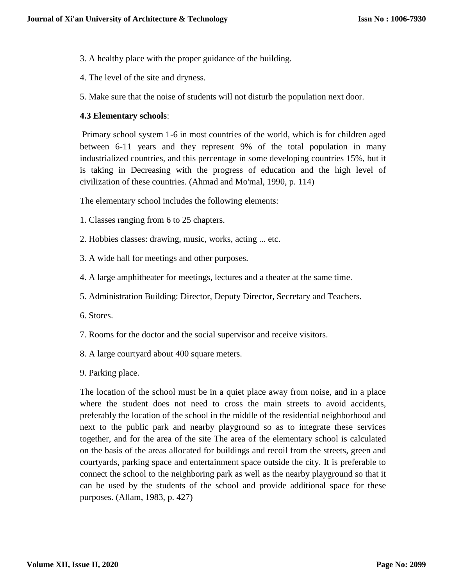- 3. A healthy place with the proper guidance of the building.
- 4. The level of the site and dryness.
- 5. Make sure that the noise of students will not disturb the population next door.

#### **4.3 Elementary schools**:

Primary school system 1-6 in most countries of the world, which is for children aged between 6-11 years and they represent 9% of the total population in many industrialized countries, and this percentage in some developing countries 15%, but it is taking in Decreasing with the progress of education and the high level of civilization of these countries. (Ahmad and Mo'mal, 1990, p. 114)

The elementary school includes the following elements:

- 1. Classes ranging from 6 to 25 chapters.
- 2. Hobbies classes: drawing, music, works, acting ... etc.
- 3. A wide hall for meetings and other purposes.
- 4. A large amphitheater for meetings, lectures and a theater at the same time.
- 5. Administration Building: Director, Deputy Director, Secretary and Teachers.
- 6. Stores.
- 7. Rooms for the doctor and the social supervisor and receive visitors.
- 8. A large courtyard about 400 square meters.
- 9. Parking place.

The location of the school must be in a quiet place away from noise, and in a place where the student does not need to cross the main streets to avoid accidents, preferably the location of the school in the middle of the residential neighborhood and next to the public park and nearby playground so as to integrate these services together, and for the area of the site The area of the elementary school is calculated on the basis of the areas allocated for buildings and recoil from the streets, green and courtyards, parking space and entertainment space outside the city. It is preferable to connect the school to the neighboring park as well as the nearby playground so that it can be used by the students of the school and provide additional space for these purposes. (Allam, 1983, p. 427)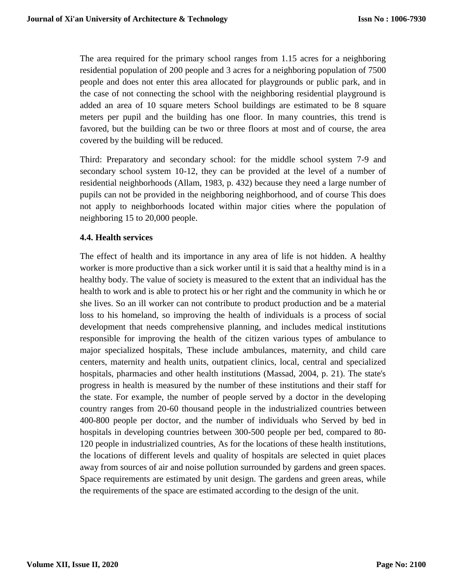The area required for the primary school ranges from 1.15 acres for a neighboring residential population of 200 people and 3 acres for a neighboring population of 7500 people and does not enter this area allocated for playgrounds or public park, and in the case of not connecting the school with the neighboring residential playground is added an area of 10 square meters School buildings are estimated to be 8 square meters per pupil and the building has one floor. In many countries, this trend is favored, but the building can be two or three floors at most and of course, the area covered by the building will be reduced.

Third: Preparatory and secondary school: for the middle school system 7-9 and secondary school system 10-12, they can be provided at the level of a number of residential neighborhoods (Allam, 1983, p. 432) because they need a large number of pupils can not be provided in the neighboring neighborhood, and of course This does not apply to neighborhoods located within major cities where the population of neighboring 15 to 20,000 people.

## **4.4. Health services**

The effect of health and its importance in any area of life is not hidden. A healthy worker is more productive than a sick worker until it is said that a healthy mind is in a healthy body. The value of society is measured to the extent that an individual has the health to work and is able to protect his or her right and the community in which he or she lives. So an ill worker can not contribute to product production and be a material loss to his homeland, so improving the health of individuals is a process of social development that needs comprehensive planning, and includes medical institutions responsible for improving the health of the citizen various types of ambulance to major specialized hospitals, These include ambulances, maternity, and child care centers, maternity and health units, outpatient clinics, local, central and specialized hospitals, pharmacies and other health institutions (Massad, 2004, p. 21). The state's progress in health is measured by the number of these institutions and their staff for the state. For example, the number of people served by a doctor in the developing country ranges from 20-60 thousand people in the industrialized countries between 400-800 people per doctor, and the number of individuals who Served by bed in hospitals in developing countries between 300-500 people per bed, compared to 80- 120 people in industrialized countries, As for the locations of these health institutions, the locations of different levels and quality of hospitals are selected in quiet places away from sources of air and noise pollution surrounded by gardens and green spaces. Space requirements are estimated by unit design. The gardens and green areas, while the requirements of the space are estimated according to the design of the unit.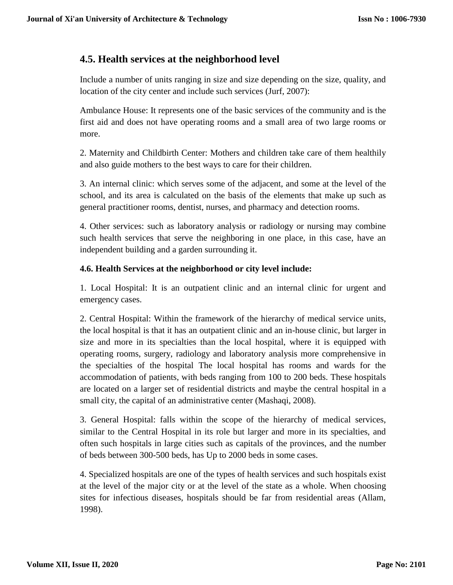# **4.5. Health services at the neighborhood level**

Include a number of units ranging in size and size depending on the size, quality, and location of the city center and include such services (Jurf, 2007):

Ambulance House: It represents one of the basic services of the community and is the first aid and does not have operating rooms and a small area of two large rooms or more.

2. Maternity and Childbirth Center: Mothers and children take care of them healthily and also guide mothers to the best ways to care for their children.

3. An internal clinic: which serves some of the adjacent, and some at the level of the school, and its area is calculated on the basis of the elements that make up such as general practitioner rooms, dentist, nurses, and pharmacy and detection rooms.

4. Other services: such as laboratory analysis or radiology or nursing may combine such health services that serve the neighboring in one place, in this case, have an independent building and a garden surrounding it.

## **4.6. Health Services at the neighborhood or city level include:**

1. Local Hospital: It is an outpatient clinic and an internal clinic for urgent and emergency cases.

2. Central Hospital: Within the framework of the hierarchy of medical service units, the local hospital is that it has an outpatient clinic and an in-house clinic, but larger in size and more in its specialties than the local hospital, where it is equipped with operating rooms, surgery, radiology and laboratory analysis more comprehensive in the specialties of the hospital The local hospital has rooms and wards for the accommodation of patients, with beds ranging from 100 to 200 beds. These hospitals are located on a larger set of residential districts and maybe the central hospital in a small city, the capital of an administrative center (Mashaqi, 2008).

3. General Hospital: falls within the scope of the hierarchy of medical services, similar to the Central Hospital in its role but larger and more in its specialties, and often such hospitals in large cities such as capitals of the provinces, and the number of beds between 300-500 beds, has Up to 2000 beds in some cases.

4. Specialized hospitals are one of the types of health services and such hospitals exist at the level of the major city or at the level of the state as a whole. When choosing sites for infectious diseases, hospitals should be far from residential areas (Allam, 1998).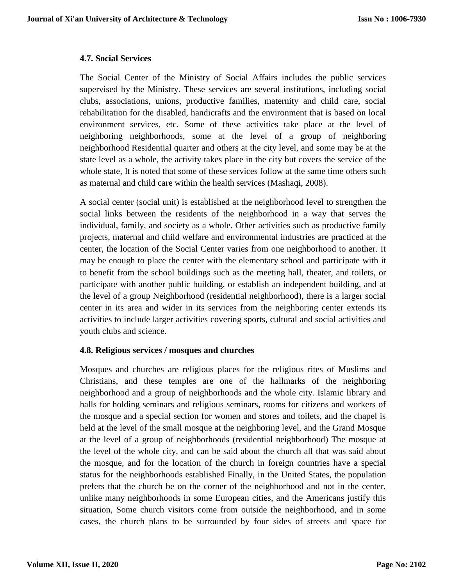#### **4.7. Social Services**

The Social Center of the Ministry of Social Affairs includes the public services supervised by the Ministry. These services are several institutions, including social clubs, associations, unions, productive families, maternity and child care, social rehabilitation for the disabled, handicrafts and the environment that is based on local environment services, etc. Some of these activities take place at the level of neighboring neighborhoods, some at the level of a group of neighboring neighborhood Residential quarter and others at the city level, and some may be at the state level as a whole, the activity takes place in the city but covers the service of the whole state, It is noted that some of these services follow at the same time others such as maternal and child care within the health services (Mashaqi, 2008).

A social center (social unit) is established at the neighborhood level to strengthen the social links between the residents of the neighborhood in a way that serves the individual, family, and society as a whole. Other activities such as productive family projects, maternal and child welfare and environmental industries are practiced at the center, the location of the Social Center varies from one neighborhood to another. It may be enough to place the center with the elementary school and participate with it to benefit from the school buildings such as the meeting hall, theater, and toilets, or participate with another public building, or establish an independent building, and at the level of a group Neighborhood (residential neighborhood), there is a larger social center in its area and wider in its services from the neighboring center extends its activities to include larger activities covering sports, cultural and social activities and youth clubs and science.

## **4.8. Religious services / mosques and churches**

Mosques and churches are religious places for the religious rites of Muslims and Christians, and these temples are one of the hallmarks of the neighboring neighborhood and a group of neighborhoods and the whole city. Islamic library and halls for holding seminars and religious seminars, rooms for citizens and workers of the mosque and a special section for women and stores and toilets, and the chapel is held at the level of the small mosque at the neighboring level, and the Grand Mosque at the level of a group of neighborhoods (residential neighborhood) The mosque at the level of the whole city, and can be said about the church all that was said about the mosque, and for the location of the church in foreign countries have a special status for the neighborhoods established Finally, in the United States, the population prefers that the church be on the corner of the neighborhood and not in the center, unlike many neighborhoods in some European cities, and the Americans justify this situation, Some church visitors come from outside the neighborhood, and in some cases, the church plans to be surrounded by four sides of streets and space for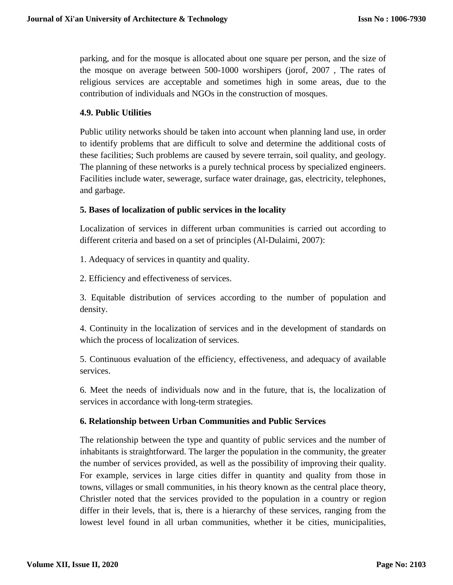parking, and for the mosque is allocated about one square per person, and the size of the mosque on average between 500-1000 worshipers (jorof, 2007 , The rates of religious services are acceptable and sometimes high in some areas, due to the contribution of individuals and NGOs in the construction of mosques.

## **4.9. Public Utilities**

Public utility networks should be taken into account when planning land use, in order to identify problems that are difficult to solve and determine the additional costs of these facilities; Such problems are caused by severe terrain, soil quality, and geology. The planning of these networks is a purely technical process by specialized engineers. Facilities include water, sewerage, surface water drainage, gas, electricity, telephones, and garbage.

## **5. Bases of localization of public services in the locality**

Localization of services in different urban communities is carried out according to different criteria and based on a set of principles (Al-Dulaimi, 2007):

1. Adequacy of services in quantity and quality.

2. Efficiency and effectiveness of services.

3. Equitable distribution of services according to the number of population and density.

4. Continuity in the localization of services and in the development of standards on which the process of localization of services.

5. Continuous evaluation of the efficiency, effectiveness, and adequacy of available services.

6. Meet the needs of individuals now and in the future, that is, the localization of services in accordance with long-term strategies.

## **6. Relationship between Urban Communities and Public Services**

The relationship between the type and quantity of public services and the number of inhabitants is straightforward. The larger the population in the community, the greater the number of services provided, as well as the possibility of improving their quality. For example, services in large cities differ in quantity and quality from those in towns, villages or small communities, in his theory known as the central place theory, Christler noted that the services provided to the population in a country or region differ in their levels, that is, there is a hierarchy of these services, ranging from the lowest level found in all urban communities, whether it be cities, municipalities,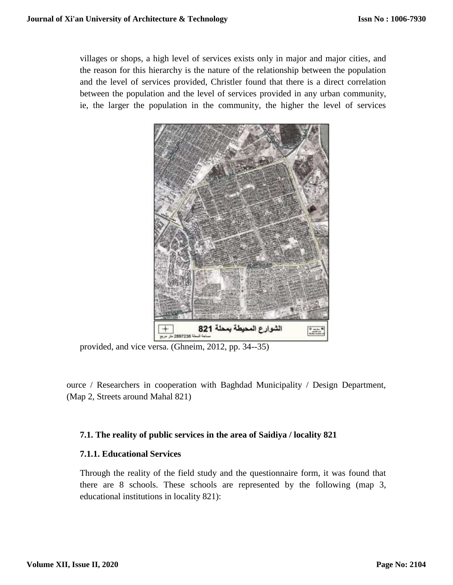villages or shops, a high level of services exists only in major and major cities, and the reason for this hierarchy is the nature of the relationship between the population and the level of services provided, Christler found that there is a direct correlation between the population and the level of services provided in any urban community, ie, the larger the population in the community, the higher the level of services



provided, and vice versa. (Ghneim, 2012, pp. 34--35)

ource / Researchers in cooperation with Baghdad Municipality / Design Department, (Map 2, Streets around Mahal 821)

#### **7.1. The reality of public services in the area of Saidiya / locality 821**

## **7.1.1. Educational Services**

Through the reality of the field study and the questionnaire form, it was found that there are 8 schools. These schools are represented by the following (map 3, educational institutions in locality 821):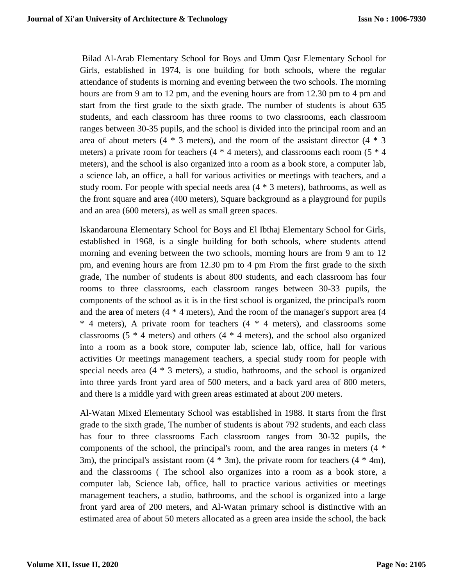Bilad Al-Arab Elementary School for Boys and Umm Qasr Elementary School for Girls, established in 1974, is one building for both schools, where the regular attendance of students is morning and evening between the two schools. The morning hours are from 9 am to 12 pm, and the evening hours are from 12.30 pm to 4 pm and start from the first grade to the sixth grade. The number of students is about 635 students, and each classroom has three rooms to two classrooms, each classroom ranges between 30-35 pupils, and the school is divided into the principal room and an area of about meters  $(4 * 3$  meters), and the room of the assistant director  $(4 * 3)$ meters) a private room for teachers  $(4 * 4$  meters), and classrooms each room  $(5 * 4)$ meters), and the school is also organized into a room as a book store, a computer lab, a science lab, an office, a hall for various activities or meetings with teachers, and a study room. For people with special needs area (4 \* 3 meters), bathrooms, as well as the front square and area (400 meters), Square background as a playground for pupils and an area (600 meters), as well as small green spaces.

Iskandarouna Elementary School for Boys and El Ibthaj Elementary School for Girls, established in 1968, is a single building for both schools, where students attend morning and evening between the two schools, morning hours are from 9 am to 12 pm, and evening hours are from 12.30 pm to 4 pm From the first grade to the sixth grade, The number of students is about 800 students, and each classroom has four rooms to three classrooms, each classroom ranges between 30-33 pupils, the components of the school as it is in the first school is organized, the principal's room and the area of meters (4 \* 4 meters), And the room of the manager's support area (4 \* 4 meters), A private room for teachers (4 \* 4 meters), and classrooms some classrooms  $(5 * 4$  meters) and others  $(4 * 4$  meters), and the school also organized into a room as a book store, computer lab, science lab, office, hall for various activities Or meetings management teachers, a special study room for people with special needs area (4 \* 3 meters), a studio, bathrooms, and the school is organized into three yards front yard area of 500 meters, and a back yard area of 800 meters, and there is a middle yard with green areas estimated at about 200 meters.

Al-Watan Mixed Elementary School was established in 1988. It starts from the first grade to the sixth grade, The number of students is about 792 students, and each class has four to three classrooms Each classroom ranges from 30-32 pupils, the components of the school, the principal's room, and the area ranges in meters (4 \* 3m), the principal's assistant room (4 \* 3m), the private room for teachers (4 \* 4m), and the classrooms ( The school also organizes into a room as a book store, a computer lab, Science lab, office, hall to practice various activities or meetings management teachers, a studio, bathrooms, and the school is organized into a large front yard area of 200 meters, and Al-Watan primary school is distinctive with an estimated area of about 50 meters allocated as a green area inside the school, the back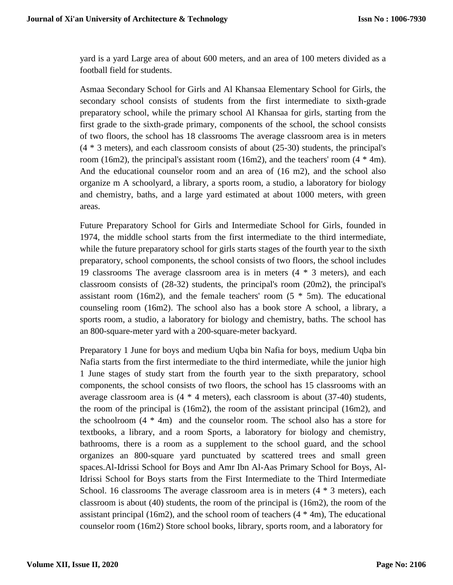yard is a yard Large area of about 600 meters, and an area of 100 meters divided as a football field for students.

Asmaa Secondary School for Girls and Al Khansaa Elementary School for Girls, the secondary school consists of students from the first intermediate to sixth-grade preparatory school, while the primary school Al Khansaa for girls, starting from the first grade to the sixth-grade primary, components of the school, the school consists of two floors, the school has 18 classrooms The average classroom area is in meters (4 \* 3 meters), and each classroom consists of about (25-30) students, the principal's room (16m2), the principal's assistant room (16m2), and the teachers' room  $(4 * 4m)$ . And the educational counselor room and an area of (16 m2), and the school also organize m A schoolyard, a library, a sports room, a studio, a laboratory for biology and chemistry, baths, and a large yard estimated at about 1000 meters, with green areas.

Future Preparatory School for Girls and Intermediate School for Girls, founded in 1974, the middle school starts from the first intermediate to the third intermediate, while the future preparatory school for girls starts stages of the fourth year to the sixth preparatory, school components, the school consists of two floors, the school includes 19 classrooms The average classroom area is in meters (4 \* 3 meters), and each classroom consists of (28-32) students, the principal's room (20m2), the principal's assistant room (16m2), and the female teachers' room  $(5 * 5m)$ . The educational counseling room (16m2). The school also has a book store A school, a library, a sports room, a studio, a laboratory for biology and chemistry, baths. The school has an 800-square-meter yard with a 200-square-meter backyard.

Preparatory 1 June for boys and medium Uqba bin Nafia for boys, medium Uqba bin Nafia starts from the first intermediate to the third intermediate, while the junior high 1 June stages of study start from the fourth year to the sixth preparatory, school components, the school consists of two floors, the school has 15 classrooms with an average classroom area is (4 \* 4 meters), each classroom is about (37-40) students, the room of the principal is (16m2), the room of the assistant principal (16m2), and the schoolroom (4 \* 4m) and the counselor room. The school also has a store for textbooks, a library, and a room Sports, a laboratory for biology and chemistry, bathrooms, there is a room as a supplement to the school guard, and the school organizes an 800-square yard punctuated by scattered trees and small green spaces.Al-Idrissi School for Boys and Amr Ibn Al-Aas Primary School for Boys, Al-Idrissi School for Boys starts from the First Intermediate to the Third Intermediate School. 16 classrooms The average classroom area is in meters  $(4 * 3$  meters), each classroom is about (40) students, the room of the principal is (16m2), the room of the assistant principal (16m2), and the school room of teachers  $(4 * 4m)$ , The educational counselor room (16m2) Store school books, library, sports room, and a laboratory for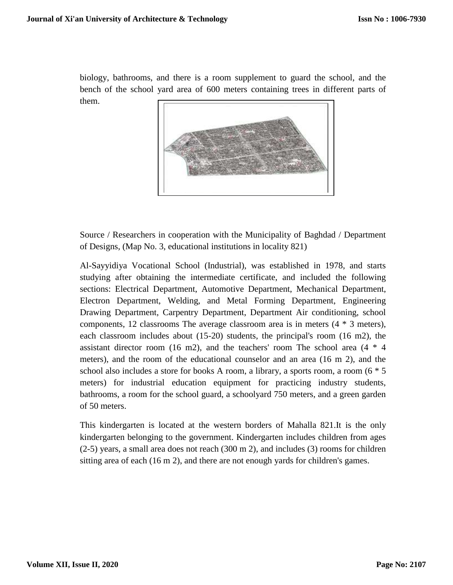biology, bathrooms, and there is a room supplement to guard the school, and the bench of the school yard area of 600 meters containing trees in different parts of them.



Source / Researchers in cooperation with the Municipality of Baghdad / Department of Designs, (Map No. 3, educational institutions in locality 821)

Al-Sayyidiya Vocational School (Industrial), was established in 1978, and starts studying after obtaining the intermediate certificate, and included the following sections: Electrical Department, Automotive Department, Mechanical Department, Electron Department, Welding, and Metal Forming Department, Engineering Drawing Department, Carpentry Department, Department Air conditioning, school components, 12 classrooms The average classroom area is in meters  $(4 * 3$  meters), each classroom includes about (15-20) students, the principal's room (16 m2), the assistant director room (16 m2), and the teachers' room The school area  $(4 * 4)$ meters), and the room of the educational counselor and an area (16 m 2), and the school also includes a store for books A room, a library, a sports room, a room (6 \* 5 meters) for industrial education equipment for practicing industry students, bathrooms, a room for the school guard, a schoolyard 750 meters, and a green garden of 50 meters.

This kindergarten is located at the western borders of Mahalla 821.It is the only kindergarten belonging to the government. Kindergarten includes children from ages (2-5) years, a small area does not reach (300 m 2), and includes (3) rooms for children sitting area of each (16 m 2), and there are not enough yards for children's games.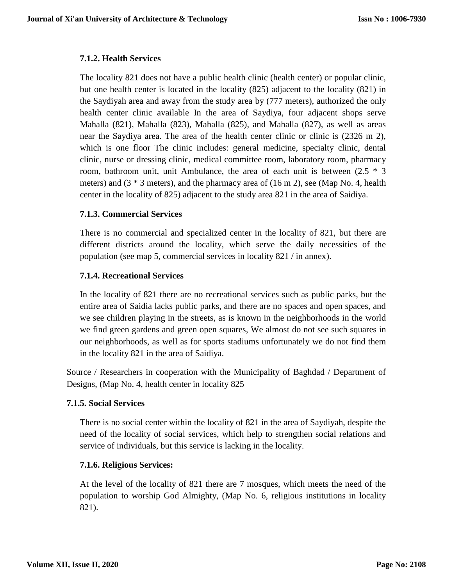## **7.1.2. Health Services**

The locality 821 does not have a public health clinic (health center) or popular clinic, but one health center is located in the locality (825) adjacent to the locality (821) in the Saydiyah area and away from the study area by (777 meters), authorized the only health center clinic available In the area of Saydiya, four adjacent shops serve Mahalla (821), Mahalla (823), Mahalla (825), and Mahalla (827), as well as areas near the Saydiya area. The area of the health center clinic or clinic is (2326 m 2), which is one floor The clinic includes: general medicine, specialty clinic, dental clinic, nurse or dressing clinic, medical committee room, laboratory room, pharmacy room, bathroom unit, unit Ambulance, the area of each unit is between  $(2.5 * 3)$ meters) and (3 \* 3 meters), and the pharmacy area of (16 m 2), see (Map No. 4, health center in the locality of 825) adjacent to the study area 821 in the area of Saidiya.

## **7.1.3. Commercial Services**

There is no commercial and specialized center in the locality of 821, but there are different districts around the locality, which serve the daily necessities of the population (see map 5, commercial services in locality 821 / in annex).

## **7.1.4. Recreational Services**

In the locality of 821 there are no recreational services such as public parks, but the entire area of Saidia lacks public parks, and there are no spaces and open spaces, and we see children playing in the streets, as is known in the neighborhoods in the world we find green gardens and green open squares, We almost do not see such squares in our neighborhoods, as well as for sports stadiums unfortunately we do not find them in the locality 821 in the area of Saidiya.

Source / Researchers in cooperation with the Municipality of Baghdad / Department of Designs, (Map No. 4, health center in locality 825

#### **7.1.5. Social Services**

There is no social center within the locality of 821 in the area of Saydiyah, despite the need of the locality of social services, which help to strengthen social relations and service of individuals, but this service is lacking in the locality.

## **7.1.6. Religious Services:**

At the level of the locality of 821 there are 7 mosques, which meets the need of the population to worship God Almighty, (Map No. 6, religious institutions in locality 821).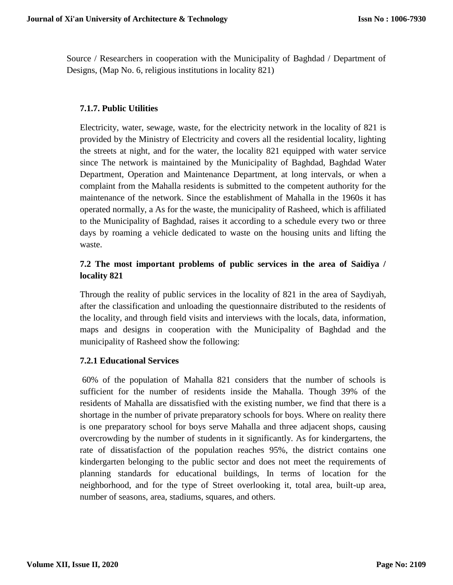Source / Researchers in cooperation with the Municipality of Baghdad / Department of Designs, (Map No. 6, religious institutions in locality 821)

## **7.1.7. Public Utilities**

Electricity, water, sewage, waste, for the electricity network in the locality of 821 is provided by the Ministry of Electricity and covers all the residential locality, lighting the streets at night, and for the water, the locality 821 equipped with water service since The network is maintained by the Municipality of Baghdad, Baghdad Water Department, Operation and Maintenance Department, at long intervals, or when a complaint from the Mahalla residents is submitted to the competent authority for the maintenance of the network. Since the establishment of Mahalla in the 1960s it has operated normally, a As for the waste, the municipality of Rasheed, which is affiliated to the Municipality of Baghdad, raises it according to a schedule every two or three days by roaming a vehicle dedicated to waste on the housing units and lifting the waste.

## **7.2 The most important problems of public services in the area of Saidiya / locality 821**

Through the reality of public services in the locality of 821 in the area of Saydiyah, after the classification and unloading the questionnaire distributed to the residents of the locality, and through field visits and interviews with the locals, data, information, maps and designs in cooperation with the Municipality of Baghdad and the municipality of Rasheed show the following:

#### **7.2.1 Educational Services**

60% of the population of Mahalla 821 considers that the number of schools is sufficient for the number of residents inside the Mahalla. Though 39% of the residents of Mahalla are dissatisfied with the existing number, we find that there is a shortage in the number of private preparatory schools for boys. Where on reality there is one preparatory school for boys serve Mahalla and three adjacent shops, causing overcrowding by the number of students in it significantly. As for kindergartens, the rate of dissatisfaction of the population reaches 95%, the district contains one kindergarten belonging to the public sector and does not meet the requirements of planning standards for educational buildings, In terms of location for the neighborhood, and for the type of Street overlooking it, total area, built-up area, number of seasons, area, stadiums, squares, and others.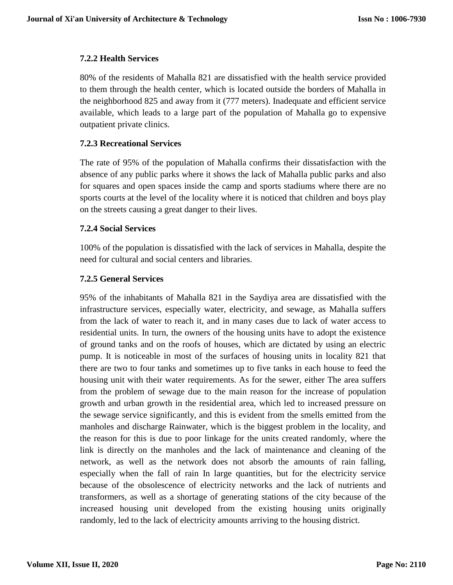## **7.2.2 Health Services**

80% of the residents of Mahalla 821 are dissatisfied with the health service provided to them through the health center, which is located outside the borders of Mahalla in the neighborhood 825 and away from it (777 meters). Inadequate and efficient service available, which leads to a large part of the population of Mahalla go to expensive outpatient private clinics.

## **7.2.3 Recreational Services**

The rate of 95% of the population of Mahalla confirms their dissatisfaction with the absence of any public parks where it shows the lack of Mahalla public parks and also for squares and open spaces inside the camp and sports stadiums where there are no sports courts at the level of the locality where it is noticed that children and boys play on the streets causing a great danger to their lives.

## **7.2.4 Social Services**

100% of the population is dissatisfied with the lack of services in Mahalla, despite the need for cultural and social centers and libraries.

## **7.2.5 General Services**

95% of the inhabitants of Mahalla 821 in the Saydiya area are dissatisfied with the infrastructure services, especially water, electricity, and sewage, as Mahalla suffers from the lack of water to reach it, and in many cases due to lack of water access to residential units. In turn, the owners of the housing units have to adopt the existence of ground tanks and on the roofs of houses, which are dictated by using an electric pump. It is noticeable in most of the surfaces of housing units in locality 821 that there are two to four tanks and sometimes up to five tanks in each house to feed the housing unit with their water requirements. As for the sewer, either The area suffers from the problem of sewage due to the main reason for the increase of population growth and urban growth in the residential area, which led to increased pressure on the sewage service significantly, and this is evident from the smells emitted from the manholes and discharge Rainwater, which is the biggest problem in the locality, and the reason for this is due to poor linkage for the units created randomly, where the link is directly on the manholes and the lack of maintenance and cleaning of the network, as well as the network does not absorb the amounts of rain falling, especially when the fall of rain In large quantities, but for the electricity service because of the obsolescence of electricity networks and the lack of nutrients and transformers, as well as a shortage of generating stations of the city because of the increased housing unit developed from the existing housing units originally randomly, led to the lack of electricity amounts arriving to the housing district.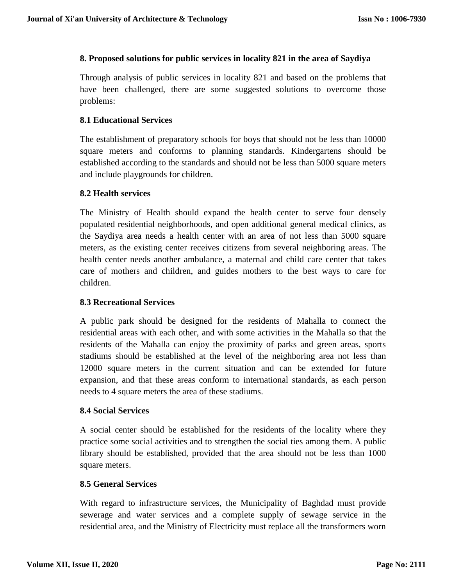#### **8. Proposed solutions for public services in locality 821 in the area of Saydiya**

Through analysis of public services in locality 821 and based on the problems that have been challenged, there are some suggested solutions to overcome those problems:

## **8.1 Educational Services**

The establishment of preparatory schools for boys that should not be less than 10000 square meters and conforms to planning standards. Kindergartens should be established according to the standards and should not be less than 5000 square meters and include playgrounds for children.

#### **8.2 Health services**

The Ministry of Health should expand the health center to serve four densely populated residential neighborhoods, and open additional general medical clinics, as the Saydiya area needs a health center with an area of not less than 5000 square meters, as the existing center receives citizens from several neighboring areas. The health center needs another ambulance, a maternal and child care center that takes care of mothers and children, and guides mothers to the best ways to care for children.

#### **8.3 Recreational Services**

A public park should be designed for the residents of Mahalla to connect the residential areas with each other, and with some activities in the Mahalla so that the residents of the Mahalla can enjoy the proximity of parks and green areas, sports stadiums should be established at the level of the neighboring area not less than 12000 square meters in the current situation and can be extended for future expansion, and that these areas conform to international standards, as each person needs to 4 square meters the area of these stadiums.

#### **8.4 Social Services**

A social center should be established for the residents of the locality where they practice some social activities and to strengthen the social ties among them. A public library should be established, provided that the area should not be less than 1000 square meters.

#### **8.5 General Services**

With regard to infrastructure services, the Municipality of Baghdad must provide sewerage and water services and a complete supply of sewage service in the residential area, and the Ministry of Electricity must replace all the transformers worn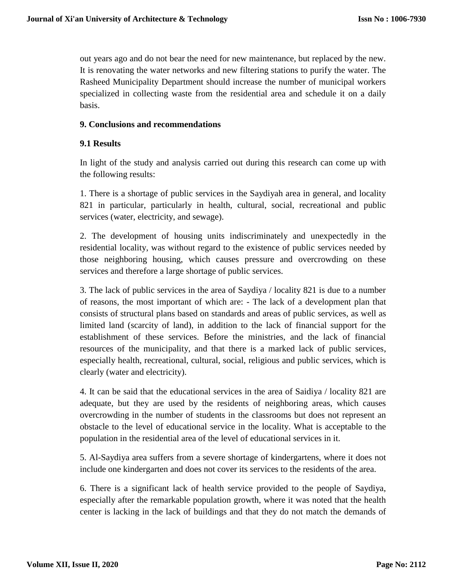out years ago and do not bear the need for new maintenance, but replaced by the new. It is renovating the water networks and new filtering stations to purify the water. The Rasheed Municipality Department should increase the number of municipal workers specialized in collecting waste from the residential area and schedule it on a daily basis.

#### **9. Conclusions and recommendations**

## **9.1 Results**

In light of the study and analysis carried out during this research can come up with the following results:

1. There is a shortage of public services in the Saydiyah area in general, and locality 821 in particular, particularly in health, cultural, social, recreational and public services (water, electricity, and sewage).

2. The development of housing units indiscriminately and unexpectedly in the residential locality, was without regard to the existence of public services needed by those neighboring housing, which causes pressure and overcrowding on these services and therefore a large shortage of public services.

3. The lack of public services in the area of Saydiya / locality 821 is due to a number of reasons, the most important of which are: - The lack of a development plan that consists of structural plans based on standards and areas of public services, as well as limited land (scarcity of land), in addition to the lack of financial support for the establishment of these services. Before the ministries, and the lack of financial resources of the municipality, and that there is a marked lack of public services, especially health, recreational, cultural, social, religious and public services, which is clearly (water and electricity).

4. It can be said that the educational services in the area of Saidiya / locality 821 are adequate, but they are used by the residents of neighboring areas, which causes overcrowding in the number of students in the classrooms but does not represent an obstacle to the level of educational service in the locality. What is acceptable to the population in the residential area of the level of educational services in it.

5. Al-Saydiya area suffers from a severe shortage of kindergartens, where it does not include one kindergarten and does not cover its services to the residents of the area.

6. There is a significant lack of health service provided to the people of Saydiya, especially after the remarkable population growth, where it was noted that the health center is lacking in the lack of buildings and that they do not match the demands of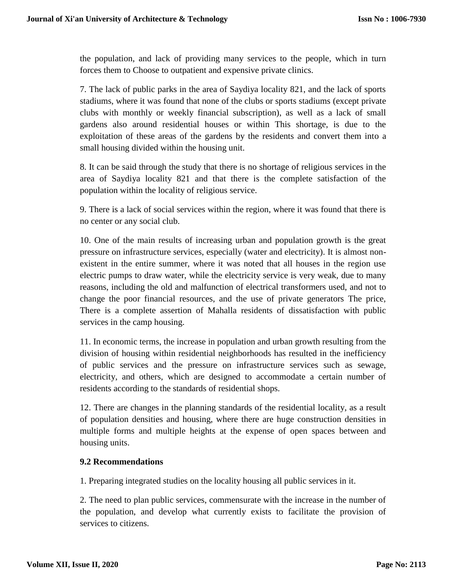the population, and lack of providing many services to the people, which in turn forces them to Choose to outpatient and expensive private clinics.

7. The lack of public parks in the area of Saydiya locality 821, and the lack of sports stadiums, where it was found that none of the clubs or sports stadiums (except private clubs with monthly or weekly financial subscription), as well as a lack of small gardens also around residential houses or within This shortage, is due to the exploitation of these areas of the gardens by the residents and convert them into a small housing divided within the housing unit.

8. It can be said through the study that there is no shortage of religious services in the area of Saydiya locality 821 and that there is the complete satisfaction of the population within the locality of religious service.

9. There is a lack of social services within the region, where it was found that there is no center or any social club.

10. One of the main results of increasing urban and population growth is the great pressure on infrastructure services, especially (water and electricity). It is almost nonexistent in the entire summer, where it was noted that all houses in the region use electric pumps to draw water, while the electricity service is very weak, due to many reasons, including the old and malfunction of electrical transformers used, and not to change the poor financial resources, and the use of private generators The price, There is a complete assertion of Mahalla residents of dissatisfaction with public services in the camp housing.

11. In economic terms, the increase in population and urban growth resulting from the division of housing within residential neighborhoods has resulted in the inefficiency of public services and the pressure on infrastructure services such as sewage, electricity, and others, which are designed to accommodate a certain number of residents according to the standards of residential shops.

12. There are changes in the planning standards of the residential locality, as a result of population densities and housing, where there are huge construction densities in multiple forms and multiple heights at the expense of open spaces between and housing units.

#### **9.2 Recommendations**

1. Preparing integrated studies on the locality housing all public services in it.

2. The need to plan public services, commensurate with the increase in the number of the population, and develop what currently exists to facilitate the provision of services to citizens.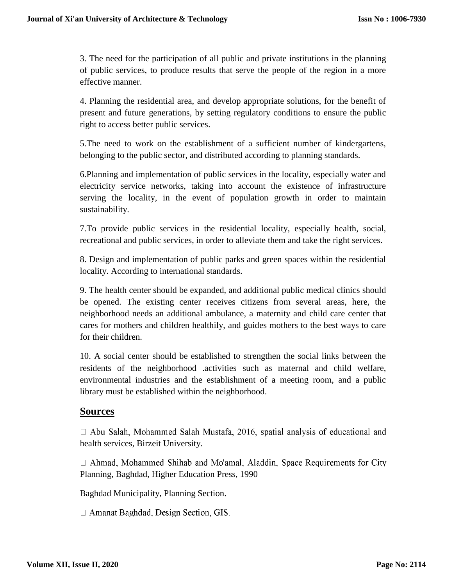3. The need for the participation of all public and private institutions in the planning of public services, to produce results that serve the people of the region in a more effective manner.

4. Planning the residential area, and develop appropriate solutions, for the benefit of present and future generations, by setting regulatory conditions to ensure the public right to access better public services.

5.The need to work on the establishment of a sufficient number of kindergartens, belonging to the public sector, and distributed according to planning standards.

6.Planning and implementation of public services in the locality, especially water and electricity service networks, taking into account the existence of infrastructure serving the locality, in the event of population growth in order to maintain sustainability.

7.To provide public services in the residential locality, especially health, social, recreational and public services, in order to alleviate them and take the right services.

8. Design and implementation of public parks and green spaces within the residential locality. According to international standards.

9. The health center should be expanded, and additional public medical clinics should be opened. The existing center receives citizens from several areas, here, the neighborhood needs an additional ambulance, a maternity and child care center that cares for mothers and children healthily, and guides mothers to the best ways to care for their children.

10. A social center should be established to strengthen the social links between the residents of the neighborhood .activities such as maternal and child welfare, environmental industries and the establishment of a meeting room, and a public library must be established within the neighborhood.

# **Sources**

 $\Box$  Abu Salah, Mohammed Salah Mustafa, 2016, spatial analysis of educational and health services, Birzeit University.

□ Ahmad, Mohammed Shihab and Mo'amal, Aladdin, Space Requirements for City Planning, Baghdad, Higher Education Press, 1990

Baghdad Municipality, Planning Section.

 $\Box$  Amanat Baghdad, Design Section, GIS.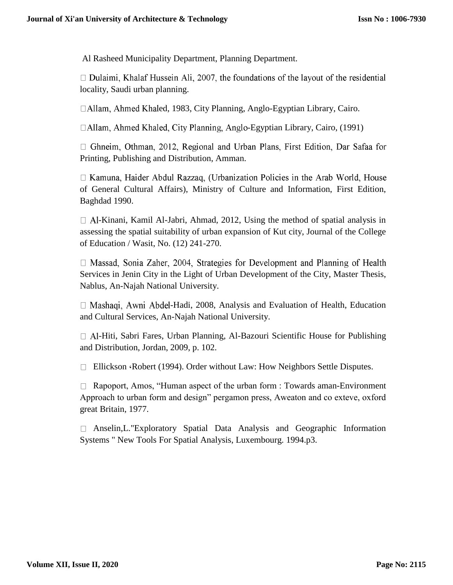Al Rasheed Municipality Department, Planning Department.

 $\Box$  Dulaimi, Khalaf Hussein Ali, 2007, the foundations of the layout of the residential locality, Saudi urban planning.

□Allam, Ahmed Khaled, 1983, City Planning, Anglo-Egyptian Library, Cairo.

□Allam, Ahmed Khaled, City Planning, Anglo-Egyptian Library, Cairo, (1991)

 $\Box$  Ghneim, Othman, 2012, Regional and Urban Plans, First Edition, Dar Safaa for Printing, Publishing and Distribution, Amman.

 $\Box$  Kamuna, Haider Abdul Razzaq, (Urbanization Policies in the Arab World, House of General Cultural Affairs), Ministry of Culture and Information, First Edition, Baghdad 1990.

 $\Box$  Al-Kinani, Kamil Al-Jabri, Ahmad, 2012, Using the method of spatial analysis in assessing the spatial suitability of urban expansion of Kut city, Journal of the College of Education / Wasit, No. (12) 241-270.

 $\Box$  Massad, Sonia Zaher, 2004, Strategies for Development and Planning of Health Services in Jenin City in the Light of Urban Development of the City, Master Thesis, Nablus, An-Najah National University.

 $\Box$  Mashaqi, Awni Abdel-Hadi, 2008, Analysis and Evaluation of Health, Education and Cultural Services, An-Najah National University.

 $\Box$  Al-Hiti, Sabri Fares, Urban Planning, Al-Bazouri Scientific House for Publishing and Distribution, Jordan, 2009, p. 102.

 $\Box$  Ellickson (Robert (1994). Order without Law: How Neighbors Settle Disputes.

□ Rapoport, Amos, "Human aspect of the urban form : Towards aman-Environment Approach to urban form and design" pergamon press, Aweaton and co exteve, oxford great Britain, 1977.

Anselin,L."Exploratory Spatial Data Analysis and Geographic Information Systems " New Tools For Spatial Analysis, Luxembourg. 1994.p3.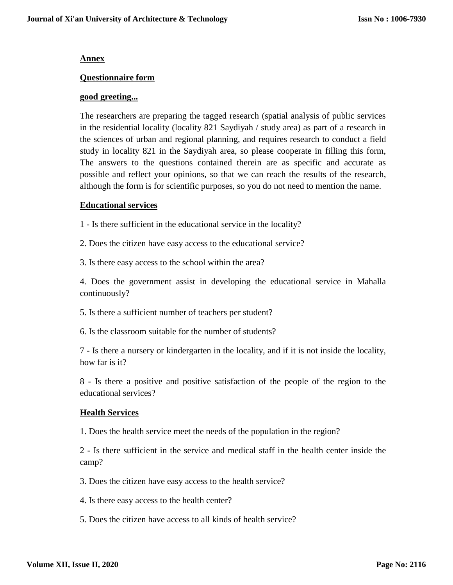#### **Annex**

#### **Questionnaire form**

#### **good greeting...**

The researchers are preparing the tagged research (spatial analysis of public services in the residential locality (locality 821 Saydiyah / study area) as part of a research in the sciences of urban and regional planning, and requires research to conduct a field study in locality 821 in the Saydiyah area, so please cooperate in filling this form, The answers to the questions contained therein are as specific and accurate as possible and reflect your opinions, so that we can reach the results of the research, although the form is for scientific purposes, so you do not need to mention the name.

#### **Educational services**

1 - Is there sufficient in the educational service in the locality?

2. Does the citizen have easy access to the educational service?

3. Is there easy access to the school within the area?

4. Does the government assist in developing the educational service in Mahalla continuously?

5. Is there a sufficient number of teachers per student?

6. Is the classroom suitable for the number of students?

7 - Is there a nursery or kindergarten in the locality, and if it is not inside the locality, how far is it?

8 - Is there a positive and positive satisfaction of the people of the region to the educational services?

#### **Health Services**

1. Does the health service meet the needs of the population in the region?

2 - Is there sufficient in the service and medical staff in the health center inside the camp?

3. Does the citizen have easy access to the health service?

4. Is there easy access to the health center?

5. Does the citizen have access to all kinds of health service?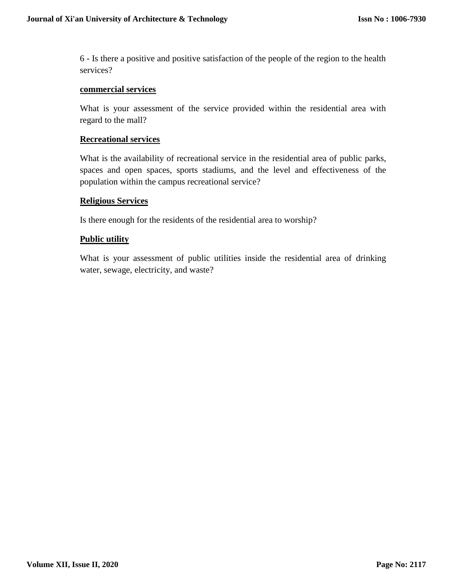6 - Is there a positive and positive satisfaction of the people of the region to the health services?

#### **commercial services**

What is your assessment of the service provided within the residential area with regard to the mall?

#### **Recreational services**

What is the availability of recreational service in the residential area of public parks, spaces and open spaces, sports stadiums, and the level and effectiveness of the population within the campus recreational service?

#### **Religious Services**

Is there enough for the residents of the residential area to worship?

#### **Public utility**

What is your assessment of public utilities inside the residential area of drinking water, sewage, electricity, and waste?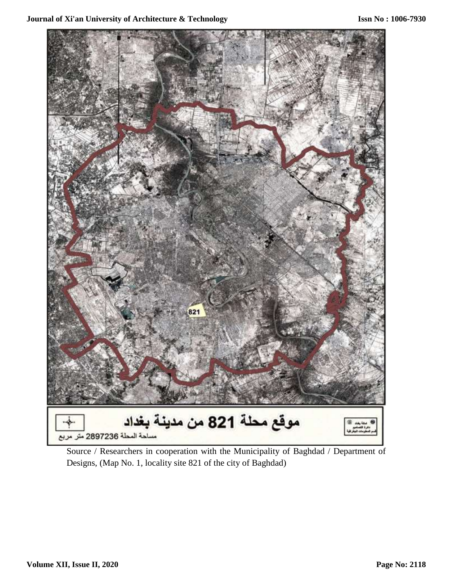

Source / Researchers in cooperation with the Municipality of Baghdad / Department of Designs, (Map No. 1, locality site 821 of the city of Baghdad)